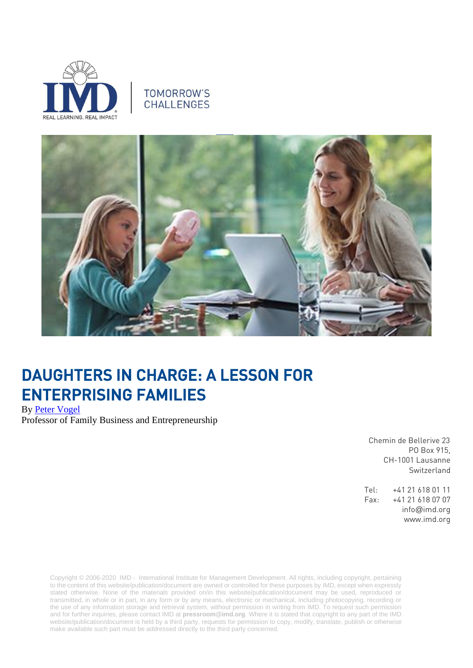

# TOMORROW'S **CHALLENGES**



# DAUGHTERS IN CHARGE: A LESSON FOR ENTERPRISING FAMILIES

By [Peter Vogel](https://www.imd.org/faculty/professors/peter_vogel/) Professor of Family Business and Entrepreneurship

> Chemin de Bellerive 23 PO Box 915, CH-1001 Lausanne Switzerland

Tel: +41 21 618 01 11 Fax: +41 21 618 07 07 info@imd.org www.imd.org

Copyright © 2006-2020 IMD - International Institute for Management Development. All rights, including copyright, pertaining to the content of this website/publication/document are owned or controlled for these purposes by IMD, except when expressly stated otherwise. None of the materials provided on/in this website/publication/document may be used, reproduced or transmitted, in whole or in part, in any form or by any means, electronic or mechanical, including photocopying, recording or the use of any information storage and retrieval system, without permission in writing from IMD. To request such permission and for further inquiries, please contact IMD at **[pressroom@imd.org](mailto:pressroom@imd.org)**. Where it is stated that copyright to any part of the IMD website/publication/document is held by a third party, requests for permission to copy, modify, translate, publish or otherwise make available such part must be addressed directly to the third party concerned.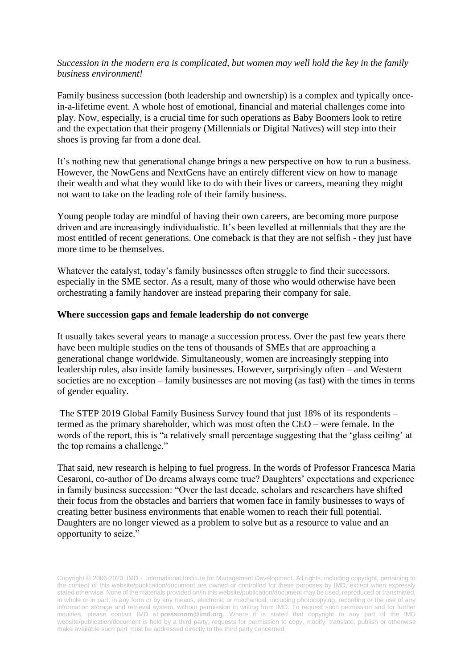### *Succession in the modern era is complicated, but women may well hold the key in the family business environment!*

Family business succession (both leadership and ownership) is a complex and typically oncein-a-lifetime event. A whole host of emotional, financial and material challenges come into play. Now, especially, is a crucial time for such operations as Baby Boomers look to retire and the expectation that their progeny (Millennials or Digital Natives) will step into their shoes is proving far from a done deal.

It's nothing new that generational change brings a new perspective on how to run a business. However, the NowGens and NextGens have an entirely different view on how to manage their wealth and what they would like to do with their lives or careers, meaning they might not want to take on the leading role of their family business.

Young people today are mindful of having their own careers, are becoming more purpose driven and are increasingly individualistic. It's been levelled at millennials that they are the most entitled of recent generations. One comeback is that they are not selfish - they just have more time to be themselves.

Whatever the catalyst, today's family businesses often struggle to find their successors, especially in the SME sector. As a result, many of those who would otherwise have been orchestrating a family handover are instead preparing their company for sale.

#### **Where succession gaps and female leadership do not converge**

It usually takes several years to manage a succession process. Over the past few years there have been multiple studies on the tens of thousands of SMEs that are approaching a generational change worldwide. Simultaneously, women are increasingly stepping into leadership roles, also inside family businesses. However, surprisingly often – and Western societies are no exception – family businesses are not moving (as fast) with the times in terms of gender equality.

The STEP 2019 Global Family Business Survey found that just 18% of its respondents – termed as the primary shareholder, which was most often the CEO – were female. In the words of the report, this is "a relatively small percentage suggesting that the 'glass ceiling' at the top remains a challenge."

That said, new research is helping to fuel progress. In the words of Professor Francesca Maria Cesaroni, co-author of Do dreams always come true? Daughters' expectations and experience in family business succession: "Over the last decade, scholars and researchers have shifted their focus from the obstacles and barriers that women face in family businesses to ways of creating better business environments that enable women to reach their full potential. Daughters are no longer viewed as a problem to solve but as a resource to value and an opportunity to seize."

Copyright © 2006-2020 IMD - International Institute for Management Development. All rights, including copyright, pertaining to the content of this website/publication/document are owned or controlled for these purposes by IMD, except when expressly stated otherwise. None of the materials provided on/in this website/publication/document may be used, reproduced or transmitted, in whole or in part, in any form or by any means, electronic or mechanical, including photocopying, recording or the use of any information storage and retrieval system, without permission in writing from IMD. To request such permission and for further inquiries, please contact IMD at **[pressroom@imd.org](mailto:pressroom@imd.org)**. Where it is stated that copyright to any part of the IMD website/publication/document is held by a third party, requests for permission to copy, modify, translate, publish or otherwise make available such part must be addressed directly to the third party concerned.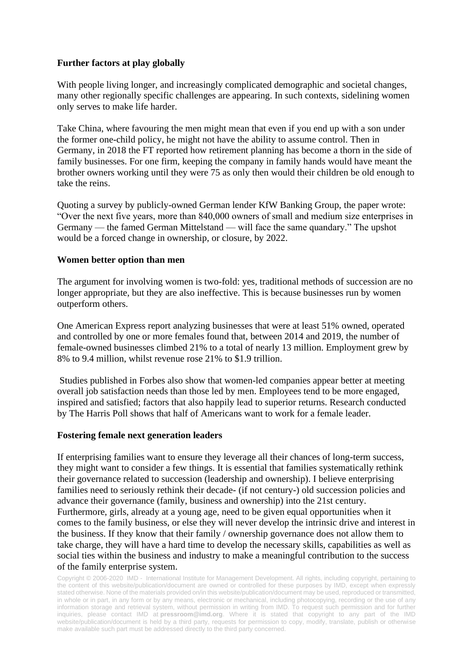## **Further factors at play globally**

With people living longer, and increasingly complicated demographic and societal changes, many other regionally specific challenges are appearing. In such contexts, sidelining women only serves to make life harder.

Take China, where favouring the men might mean that even if you end up with a son under the former one-child policy, he might not have the ability to assume control. Then in Germany, in 2018 the FT reported how retirement planning has become a thorn in the side of family businesses. For one firm, keeping the company in family hands would have meant the brother owners working until they were 75 as only then would their children be old enough to take the reins.

Quoting a survey by publicly-owned German lender KfW Banking Group, the paper wrote: "Over the next five years, more than 840,000 owners of small and medium size enterprises in Germany — the famed German Mittelstand — will face the same quandary." The upshot would be a forced change in ownership, or closure, by 2022.

#### **Women better option than men**

The argument for involving women is two-fold: yes, traditional methods of succession are no longer appropriate, but they are also ineffective. This is because businesses run by women outperform others.

One American Express report analyzing businesses that were at least 51% owned, operated and controlled by one or more females found that, between 2014 and 2019, the number of female-owned businesses climbed 21% to a total of nearly 13 million. Employment grew by 8% to 9.4 million, whilst revenue rose 21% to \$1.9 trillion.

Studies published in Forbes also show that women-led companies appear better at meeting overall job satisfaction needs than those led by men. Employees tend to be more engaged, inspired and satisfied; factors that also happily lead to superior returns. Research conducted by The Harris Poll shows that half of Americans want to work for a female leader.

#### **Fostering female next generation leaders**

If enterprising families want to ensure they leverage all their chances of long-term success, they might want to consider a few things. It is essential that families systematically rethink their governance related to succession (leadership and ownership). I believe enterprising families need to seriously rethink their decade- (if not century-) old succession policies and advance their governance (family, business and ownership) into the 21st century. Furthermore, girls, already at a young age, need to be given equal opportunities when it comes to the family business, or else they will never develop the intrinsic drive and interest in the business. If they know that their family / ownership governance does not allow them to take charge, they will have a hard time to develop the necessary skills, capabilities as well as social ties within the business and industry to make a meaningful contribution to the success of the family enterprise system.

Copyright © 2006-2020 IMD - International Institute for Management Development. All rights, including copyright, pertaining to the content of this website/publication/document are owned or controlled for these purposes by IMD, except when expressly stated otherwise. None of the materials provided on/in this website/publication/document may be used, reproduced or transmitted, in whole or in part, in any form or by any means, electronic or mechanical, including photocopying, recording or the use of any information storage and retrieval system, without permission in writing from IMD. To request such permission and for further inquiries, please contact IMD at **[pressroom@imd.org](mailto:pressroom@imd.org)**. Where it is stated that copyright to any part of the IMD website/publication/document is held by a third party, requests for permission to copy, modify, translate, publish or otherwise make available such part must be addressed directly to the third party concerned.